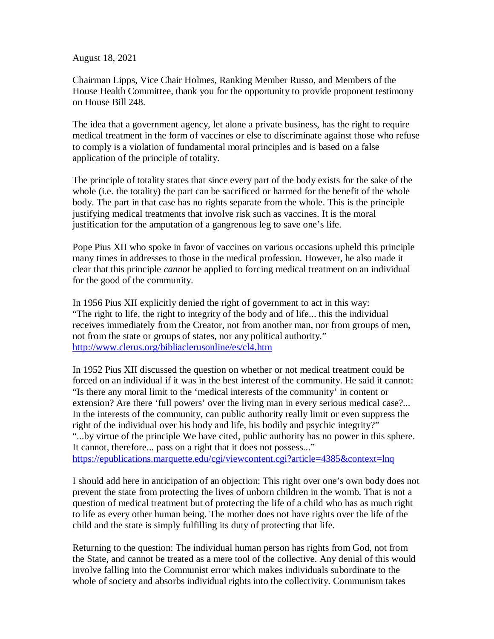August 18, 2021

Chairman Lipps, Vice Chair Holmes, Ranking Member Russo, and Members of the House Health Committee, thank you for the opportunity to provide proponent testimony on House Bill 248.

The idea that a government agency, let alone a private business, has the right to require medical treatment in the form of vaccines or else to discriminate against those who refuse to comply is a violation of fundamental moral principles and is based on a false application of the principle of totality.

The principle of totality states that since every part of the body exists for the sake of the whole (i.e. the totality) the part can be sacrificed or harmed for the benefit of the whole body. The part in that case has no rights separate from the whole. This is the principle justifying medical treatments that involve risk such as vaccines. It is the moral justification for the amputation of a gangrenous leg to save one's life.

Pope Pius XII who spoke in favor of vaccines on various occasions upheld this principle many times in addresses to those in the medical profession. However, he also made it clear that this principle *cannot* be applied to forcing medical treatment on an individual for the good of the community.

In 1956 Pius XII explicitly denied the right of government to act in this way: "The right to life, the right to integrity of the body and of life... this the individual receives immediately from the Creator, not from another man, nor from groups of men, not from the state or groups of states, nor any political authority." http://www.clerus.org/bibliaclerusonline/es/cl4.htm

In 1952 Pius XII discussed the question on whether or not medical treatment could be forced on an individual if it was in the best interest of the community. He said it cannot: "Is there any moral limit to the 'medical interests of the community' in content or extension? Are there 'full powers' over the living man in every serious medical case?... In the interests of the community, can public authority really limit or even suppress the right of the individual over his body and life, his bodily and psychic integrity?" "...by virtue of the principle We have cited, public authority has no power in this sphere. It cannot, therefore... pass on a right that it does not possess..." https://epublications.marquette.edu/cgi/viewcontent.cgi?article=4385&context=lnq

I should add here in anticipation of an objection: This right over one's own body does not prevent the state from protecting the lives of unborn children in the womb. That is not a question of medical treatment but of protecting the life of a child who has as much right to life as every other human being. The mother does not have rights over the life of the child and the state is simply fulfilling its duty of protecting that life.

Returning to the question: The individual human person has rights from God, not from the State, and cannot be treated as a mere tool of the collective. Any denial of this would involve falling into the Communist error which makes individuals subordinate to the whole of society and absorbs individual rights into the collectivity. Communism takes